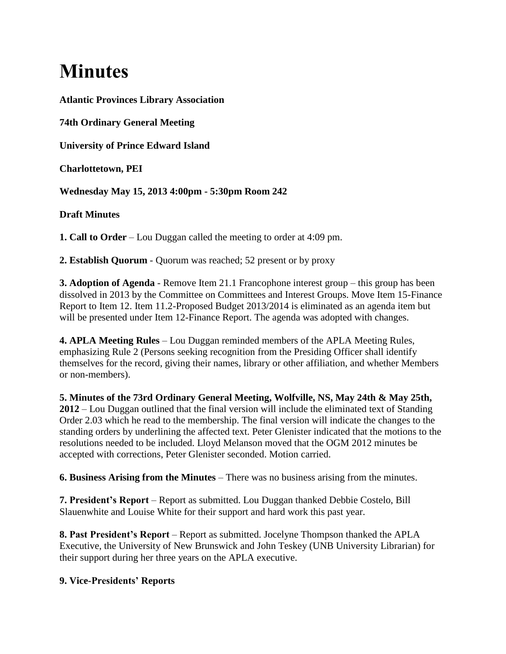# **Minutes**

**Atlantic Provinces Library Association**

**74th Ordinary General Meeting**

**University of Prince Edward Island**

**Charlottetown, PEI**

**Wednesday May 15, 2013 4:00pm - 5:30pm Room 242**

## **Draft Minutes**

**1. Call to Order** – Lou Duggan called the meeting to order at 4:09 pm.

**2. Establish Quorum** - Quorum was reached; 52 present or by proxy

**3. Adoption of Agenda** - Remove Item 21.1 Francophone interest group – this group has been dissolved in 2013 by the Committee on Committees and Interest Groups. Move Item 15-Finance Report to Item 12. Item 11.2-Proposed Budget 2013/2014 is eliminated as an agenda item but will be presented under Item 12-Finance Report. The agenda was adopted with changes.

**4. APLA Meeting Rules** – Lou Duggan reminded members of the APLA Meeting Rules, emphasizing Rule 2 (Persons seeking recognition from the Presiding Officer shall identify themselves for the record, giving their names, library or other affiliation, and whether Members or non-members).

**5. Minutes of the 73rd Ordinary General Meeting, Wolfville, NS, May 24th & May 25th, 2012** – Lou Duggan outlined that the final version will include the eliminated text of Standing Order 2.03 which he read to the membership. The final version will indicate the changes to the standing orders by underlining the affected text. Peter Glenister indicated that the motions to the resolutions needed to be included. Lloyd Melanson moved that the OGM 2012 minutes be accepted with corrections, Peter Glenister seconded. Motion carried.

**6. Business Arising from the Minutes** – There was no business arising from the minutes.

**7. President's Report** – Report as submitted. Lou Duggan thanked Debbie Costelo, Bill Slauenwhite and Louise White for their support and hard work this past year.

**8. Past President's Report** – Report as submitted. Jocelyne Thompson thanked the APLA Executive, the University of New Brunswick and John Teskey (UNB University Librarian) for their support during her three years on the APLA executive.

## **9. Vice-Presidents' Reports**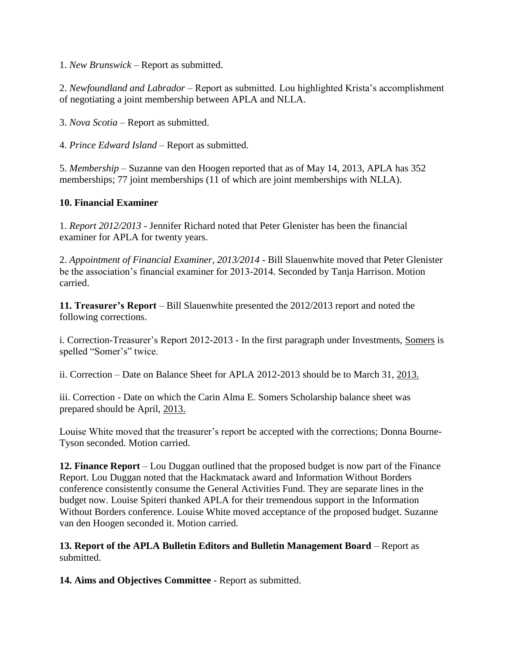1. *New Brunswick* – Report as submitted.

2. *Newfoundland and Labrador* – Report as submitted. Lou highlighted Krista's accomplishment of negotiating a joint membership between APLA and NLLA.

3. *Nova Scotia* – Report as submitted.

4. *Prince Edward Island* – Report as submitted.

5. *Membership* – Suzanne van den Hoogen reported that as of May 14, 2013, APLA has 352 memberships; 77 joint memberships (11 of which are joint memberships with NLLA).

## **10. Financial Examiner**

1. *Report 2012/2013* - Jennifer Richard noted that Peter Glenister has been the financial examiner for APLA for twenty years.

2. *Appointment of Financial Examiner, 2013/2014* - Bill Slauenwhite moved that Peter Glenister be the association's financial examiner for 2013-2014. Seconded by Tanja Harrison. Motion carried.

**11. Treasurer's Report** – Bill Slauenwhite presented the 2012/2013 report and noted the following corrections.

i. Correction-Treasurer's Report 2012-2013 - In the first paragraph under Investments, Somers is spelled "Somer's" twice.

ii. Correction – Date on Balance Sheet for APLA 2012-2013 should be to March 31, 2013.

iii. Correction - Date on which the Carin Alma E. Somers Scholarship balance sheet was prepared should be April, 2013.

Louise White moved that the treasurer's report be accepted with the corrections; Donna Bourne-Tyson seconded. Motion carried.

**12. Finance Report** – Lou Duggan outlined that the proposed budget is now part of the Finance Report. Lou Duggan noted that the Hackmatack award and Information Without Borders conference consistently consume the General Activities Fund. They are separate lines in the budget now. Louise Spiteri thanked APLA for their tremendous support in the Information Without Borders conference. Louise White moved acceptance of the proposed budget. Suzanne van den Hoogen seconded it. Motion carried.

**13. Report of the APLA Bulletin Editors and Bulletin Management Board** – Report as submitted.

**14. Aims and Objectives Committee** - Report as submitted.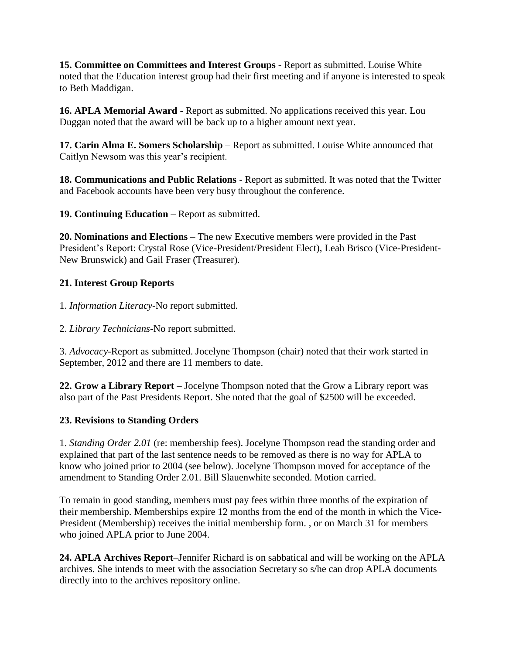**15. Committee on Committees and Interest Groups** - Report as submitted. Louise White noted that the Education interest group had their first meeting and if anyone is interested to speak to Beth Maddigan.

**16. APLA Memorial Award** - Report as submitted. No applications received this year. Lou Duggan noted that the award will be back up to a higher amount next year.

**17. Carin Alma E. Somers Scholarship** – Report as submitted. Louise White announced that Caitlyn Newsom was this year's recipient.

**18. Communications and Public Relations** - Report as submitted. It was noted that the Twitter and Facebook accounts have been very busy throughout the conference.

**19. Continuing Education** – Report as submitted.

**20. Nominations and Elections** – The new Executive members were provided in the Past President's Report: Crystal Rose (Vice-President/President Elect), Leah Brisco (Vice-President-New Brunswick) and Gail Fraser (Treasurer).

# **21. Interest Group Reports**

1. *Information Literacy*-No report submitted.

2. *Library Technicians*-No report submitted.

3. *Advocacy*-Report as submitted. Jocelyne Thompson (chair) noted that their work started in September, 2012 and there are 11 members to date.

**22. Grow a Library Report** – Jocelyne Thompson noted that the Grow a Library report was also part of the Past Presidents Report. She noted that the goal of \$2500 will be exceeded.

# **23. Revisions to Standing Orders**

1. *Standing Order 2.01* (re: membership fees). Jocelyne Thompson read the standing order and explained that part of the last sentence needs to be removed as there is no way for APLA to know who joined prior to 2004 (see below). Jocelyne Thompson moved for acceptance of the amendment to Standing Order 2.01. Bill Slauenwhite seconded. Motion carried.

To remain in good standing, members must pay fees within three months of the expiration of their membership. Memberships expire 12 months from the end of the month in which the Vice-President (Membership) receives the initial membership form. , or on March 31 for members who joined APLA prior to June 2004.

**24. APLA Archives Report**–Jennifer Richard is on sabbatical and will be working on the APLA archives. She intends to meet with the association Secretary so s/he can drop APLA documents directly into to the archives repository online.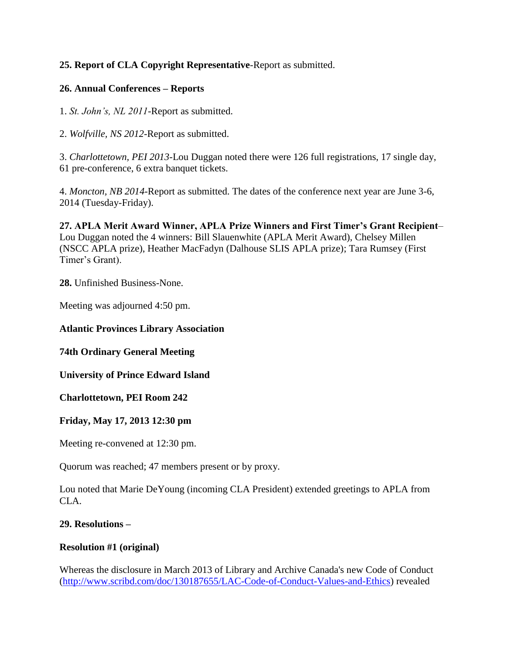## **25. Report of CLA Copyright Representative**-Report as submitted.

#### **26. Annual Conferences – Reports**

1. *St. John's, NL 2011*-Report as submitted.

2. *Wolfville, NS 2012*-Report as submitted.

3. *Charlottetown, PEI 2013*-Lou Duggan noted there were 126 full registrations, 17 single day, 61 pre-conference, 6 extra banquet tickets.

4. *Moncton, NB 2014*-Report as submitted. The dates of the conference next year are June 3-6, 2014 (Tuesday-Friday).

**27. APLA Merit Award Winner, APLA Prize Winners and First Timer's Grant Recipient**– Lou Duggan noted the 4 winners: Bill Slauenwhite (APLA Merit Award), Chelsey Millen (NSCC APLA prize), Heather MacFadyn (Dalhouse SLIS APLA prize); Tara Rumsey (First Timer's Grant).

**28.** Unfinished Business-None.

Meeting was adjourned 4:50 pm.

#### **Atlantic Provinces Library Association**

**74th Ordinary General Meeting**

**University of Prince Edward Island**

**Charlottetown, PEI Room 242**

#### **Friday, May 17, 2013 12:30 pm**

Meeting re-convened at 12:30 pm.

Quorum was reached; 47 members present or by proxy.

Lou noted that Marie DeYoung (incoming CLA President) extended greetings to APLA from CLA.

## **29. Resolutions –**

#### **Resolution #1 (original)**

Whereas the disclosure in March 2013 of Library and Archive Canada's new Code of Conduct [\(http://www.scribd.com/doc/130187655/LAC-Code-of-Conduct-Values-and-Ethics\)](http://www.scribd.com/doc/130187655/LAC-Code-of-Conduct-Values-and-Ethics) revealed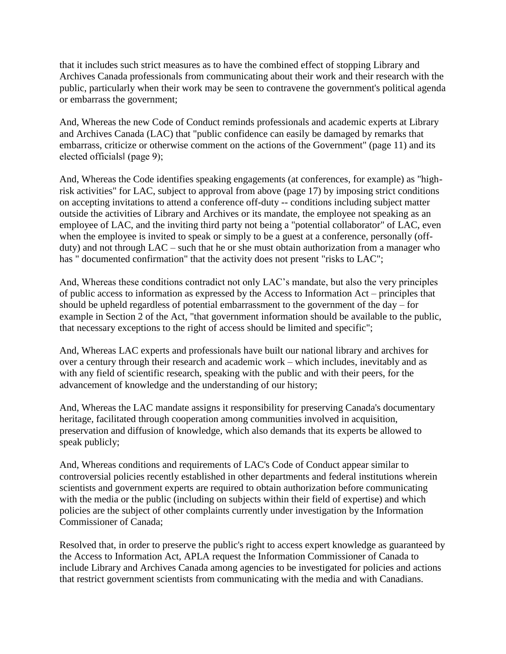that it includes such strict measures as to have the combined effect of stopping Library and Archives Canada professionals from communicating about their work and their research with the public, particularly when their work may be seen to contravene the government's political agenda or embarrass the government;

And, Whereas the new Code of Conduct reminds professionals and academic experts at Library and Archives Canada (LAC) that "public confidence can easily be damaged by remarks that embarrass, criticize or otherwise comment on the actions of the Government" (page 11) and its elected officials‖ (page 9);

And, Whereas the Code identifies speaking engagements (at conferences, for example) as "highrisk activities" for LAC, subject to approval from above (page 17) by imposing strict conditions on accepting invitations to attend a conference off-duty -- conditions including subject matter outside the activities of Library and Archives or its mandate, the employee not speaking as an employee of LAC, and the inviting third party not being a "potential collaborator" of LAC, even when the employee is invited to speak or simply to be a guest at a conference, personally (offduty) and not through LAC – such that he or she must obtain authorization from a manager who has " documented confirmation" that the activity does not present "risks to LAC";

And, Whereas these conditions contradict not only LAC's mandate, but also the very principles of public access to information as expressed by the Access to Information Act – principles that should be upheld regardless of potential embarrassment to the government of the day – for example in Section 2 of the Act, "that government information should be available to the public, that necessary exceptions to the right of access should be limited and specific";

And, Whereas LAC experts and professionals have built our national library and archives for over a century through their research and academic work – which includes, inevitably and as with any field of scientific research, speaking with the public and with their peers, for the advancement of knowledge and the understanding of our history;

And, Whereas the LAC mandate assigns it responsibility for preserving Canada's documentary heritage, facilitated through cooperation among communities involved in acquisition, preservation and diffusion of knowledge, which also demands that its experts be allowed to speak publicly;

And, Whereas conditions and requirements of LAC's Code of Conduct appear similar to controversial policies recently established in other departments and federal institutions wherein scientists and government experts are required to obtain authorization before communicating with the media or the public (including on subjects within their field of expertise) and which policies are the subject of other complaints currently under investigation by the Information Commissioner of Canada;

Resolved that, in order to preserve the public's right to access expert knowledge as guaranteed by the Access to Information Act, APLA request the Information Commissioner of Canada to include Library and Archives Canada among agencies to be investigated for policies and actions that restrict government scientists from communicating with the media and with Canadians.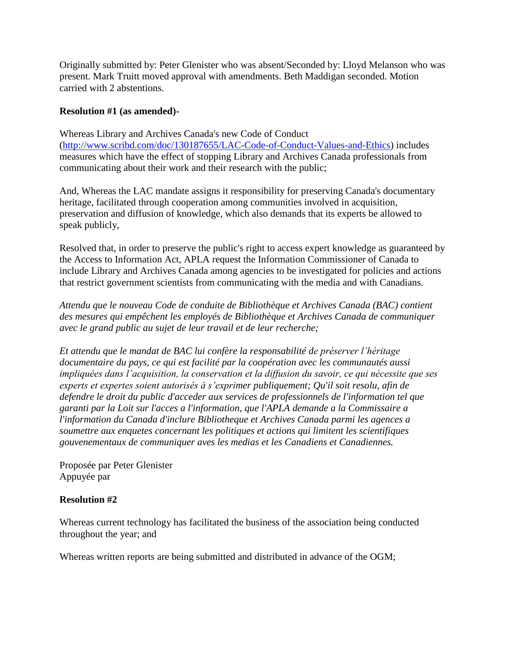Originally submitted by: Peter Glenister who was absent/Seconded by: Lloyd Melanson who was present. Mark Truitt moved approval with amendments. Beth Maddigan seconded. Motion carried with 2 abstentions.

#### **Resolution #1 (as amended)-**

Whereas Library and Archives Canada's new Code of Conduct [\(http://www.scribd.com/doc/130187655/LAC-Code-of-Conduct-Values-and-Ethics\)](http://www.scribd.com/doc/130187655/LAC-Code-of-Conduct-Values-and-Ethics) includes measures which have the effect of stopping Library and Archives Canada professionals from communicating about their work and their research with the public;

And, Whereas the LAC mandate assigns it responsibility for preserving Canada's documentary heritage, facilitated through cooperation among communities involved in acquisition, preservation and diffusion of knowledge, which also demands that its experts be allowed to speak publicly,

Resolved that, in order to preserve the public's right to access expert knowledge as guaranteed by the Access to Information Act, APLA request the Information Commissioner of Canada to include Library and Archives Canada among agencies to be investigated for policies and actions that restrict government scientists from communicating with the media and with Canadians.

*Attendu que le nouveau Code de conduite de Bibliothèque et Archives Canada (BAC) contient des mesures qui empêchent les employés de Bibliothèque et Archives Canada de communiquer avec le grand public au sujet de leur travail et de leur recherche;* 

*Et attendu que le mandat de BAC lui confère la responsabilité de préserver l'héritage documentaire du pays, ce qui est facilité par la coopération avec les communautés aussi impliquées dans l'acquisition, la conservation et la diffusion du savoir, ce qui nécessite que ses experts et expertes soient autorisés à s'exprimer publiquement; Qu'il soit resolu, afin de defendre le droit du public d'acceder aux services de professionnels de l'information tel que garanti par la Loit sur l'acces a l'information, que l'APLA demande a la Commissaire a l'information du Canada d'inclure Bibliotheque et Archives Canada parmi les agences a soumettre aux enquetes concernant les politiques et actions qui limitent les scientifiques gouvenementaux de communiquer aves les medias et les Canadiens et Canadiennes.*

Proposée par Peter Glenister Appuyée par

## **Resolution #2**

Whereas current technology has facilitated the business of the association being conducted throughout the year; and

Whereas written reports are being submitted and distributed in advance of the OGM;